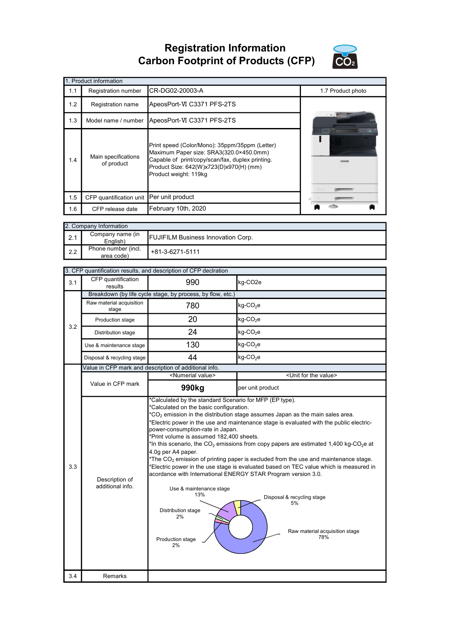Registration Information Carbon Footprint of Products (CFP)



|     | 1. Product information                   |                                                                                                                                                                                                                   |                   |
|-----|------------------------------------------|-------------------------------------------------------------------------------------------------------------------------------------------------------------------------------------------------------------------|-------------------|
| 1.1 | Registration number                      | CR-DG02-20003-A                                                                                                                                                                                                   | 1.7 Product photo |
| 1.2 | <b>Registration name</b>                 | ApeosPort-VI C3371 PFS-2TS                                                                                                                                                                                        |                   |
| 1.3 | Model name / number                      | ApeosPort-VI C3371 PFS-2TS                                                                                                                                                                                        |                   |
| 1.4 | Main specifications<br>of product        | Print speed (Color/Mono): 35ppm/35ppm (Letter)<br>Maximum Paper size: SRA3(320.0×450.0mm)<br>Capable of print/copy/scan/fax, duplex printing.<br>Product Size: 642(W)x723(D)x970(H) (mm)<br>Product weight: 119kg |                   |
| 1.5 | CFP quantification unit Per unit product |                                                                                                                                                                                                                   |                   |
| 1.6 | CFP release date                         | February 10th, 2020                                                                                                                                                                                               |                   |

|     | 2. Company Information            |                                           |
|-----|-----------------------------------|-------------------------------------------|
| 2.1 | Company name (in<br>English)      | <b>FUJIFILM Business Innovation Corp.</b> |
| 2.2 | Phone number (incl.<br>area code) | +81-3-6271-5111                           |

|     |                                    | 3. CFP quantification results, and description of CFP declration                                                                                                                                                                                                                                       |                                                                                                                                                                                                                                                                                                                                                                                                                                                                                                                                                                      |
|-----|------------------------------------|--------------------------------------------------------------------------------------------------------------------------------------------------------------------------------------------------------------------------------------------------------------------------------------------------------|----------------------------------------------------------------------------------------------------------------------------------------------------------------------------------------------------------------------------------------------------------------------------------------------------------------------------------------------------------------------------------------------------------------------------------------------------------------------------------------------------------------------------------------------------------------------|
| 3.1 | CFP quantification<br>results      | 990                                                                                                                                                                                                                                                                                                    | kg-CO <sub>2e</sub>                                                                                                                                                                                                                                                                                                                                                                                                                                                                                                                                                  |
|     |                                    | Breakdown (by life cycle stage, by process, by flow, etc.)                                                                                                                                                                                                                                             |                                                                                                                                                                                                                                                                                                                                                                                                                                                                                                                                                                      |
|     | Raw material acquisition<br>stage  | 780                                                                                                                                                                                                                                                                                                    | $kg$ -CO <sub>2</sub> e                                                                                                                                                                                                                                                                                                                                                                                                                                                                                                                                              |
| 3.2 | Production stage                   | 20                                                                                                                                                                                                                                                                                                     | kg-CO <sub>2</sub> e                                                                                                                                                                                                                                                                                                                                                                                                                                                                                                                                                 |
|     | Distribution stage                 | 24                                                                                                                                                                                                                                                                                                     | kg-CO <sub>2</sub> e                                                                                                                                                                                                                                                                                                                                                                                                                                                                                                                                                 |
|     | Use & maintenance stage            | 130                                                                                                                                                                                                                                                                                                    | kg-CO <sub>2</sub> e                                                                                                                                                                                                                                                                                                                                                                                                                                                                                                                                                 |
|     | Disposal & recycling stage         | 44                                                                                                                                                                                                                                                                                                     | $kg$ -CO <sub>2</sub> e                                                                                                                                                                                                                                                                                                                                                                                                                                                                                                                                              |
|     |                                    | Value in CFP mark and description of additional info.                                                                                                                                                                                                                                                  |                                                                                                                                                                                                                                                                                                                                                                                                                                                                                                                                                                      |
|     |                                    | <numerial value=""></numerial>                                                                                                                                                                                                                                                                         | <unit for="" the="" value=""></unit>                                                                                                                                                                                                                                                                                                                                                                                                                                                                                                                                 |
|     | Value in CFP mark                  | 990 <sub>kg</sub>                                                                                                                                                                                                                                                                                      | per unit product                                                                                                                                                                                                                                                                                                                                                                                                                                                                                                                                                     |
| 3.3 | Description of<br>additional info. | *Calculated on the basic configuration.<br>power-consumption-rate in Japan.<br>*Print volume is assumed 182,400 sheets.<br>4.0q per A4 paper.<br>acordance with International ENERGY STAR Program version 3.0.<br>Use & maintenance stage<br>13%<br>Distribution stage<br>2%<br>Production stage<br>2% | $*CO2$ emission in the distribution stage assumes Japan as the main sales area.<br>*Electric power in the use and maintenance stage is evaluated with the public electric-<br>*In this scenario, the CO <sub>2</sub> emissions from copy papers are estimated 1,400 kg-CO <sub>2</sub> e at<br>*The CO <sub>2</sub> emission of printing paper is excluded from the use and maintenance stage.<br>*Electric power in the use stage is evaluated based on TEC value which is measured in<br>Disposal & recycling stage<br>5%<br>Raw material acquisition stage<br>78% |
| 3.4 | Remarks                            |                                                                                                                                                                                                                                                                                                        |                                                                                                                                                                                                                                                                                                                                                                                                                                                                                                                                                                      |